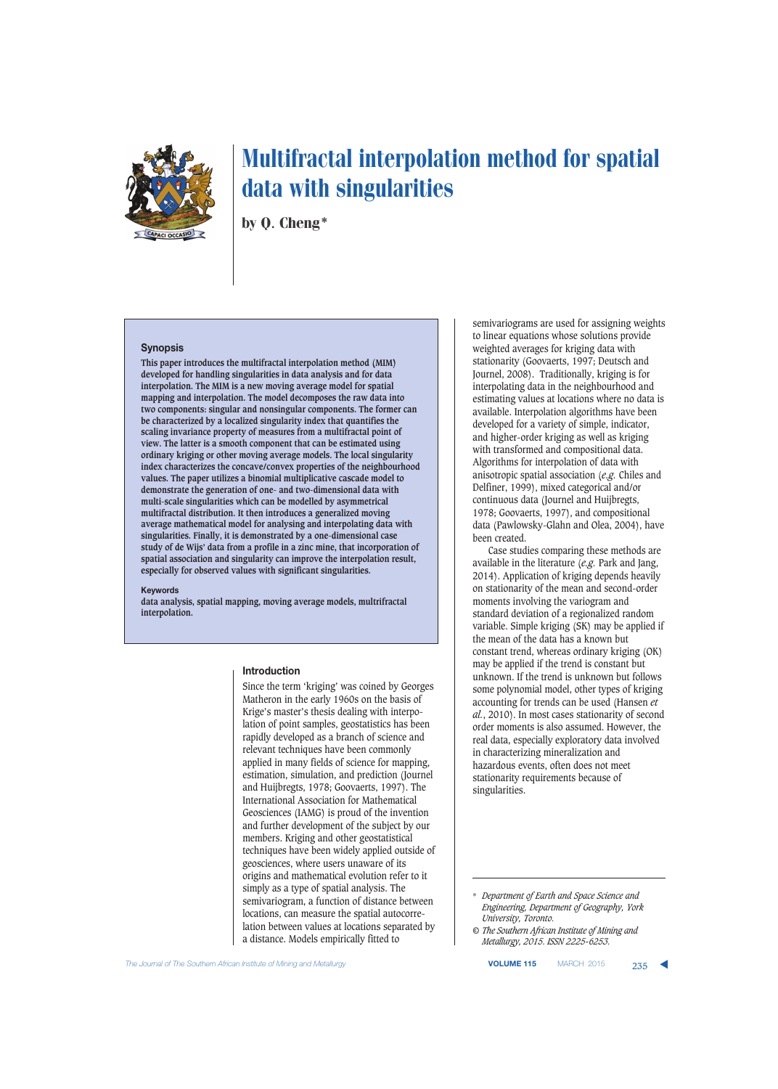

by Q. Cheng\*

## **Synopsis**

**This paper introduces the multifractal interpolation method (MIM) developed for handling singularities in data analysis and for data interpolation. The MIM is a new moving average model for spatial mapping and interpolation. The model decomposes the raw data into two components: singular and nonsingular components. The former can be characterized by a localized singularity index that quantifies the scaling invariance property of measures from a multifractal point of view. The latter is a smooth component that can be estimated using ordinary kriging or other moving average models. The local singularity index characterizes the concave/convex properties of the neighbourhood values. The paper utilizes a binomial multiplicative cascade model to demonstrate the generation of one- and two-dimensional data with multi-scale singularities which can be modelled by asymmetrical multifractal distribution. It then introduces a generalized moving average mathematical model for analysing and interpolating data with singularities. Finally, it is demonstrated by a one-dimensional case study of de Wijs' data from a profile in a zinc mine, that incorporation of spatial association and singularity can improve the interpolation result, especially for observed values with significant singularities.**

## **Keywords**

**data analysis, spatial mapping, moving average models, multrifractal interpolation.**

#### **Introduction**

Since the term 'kriging' was coined by Georges Matheron in the early 1960s on the basis of Krige's master's thesis dealing with interpolation of point samples, geostatistics has been rapidly developed as a branch of science and relevant techniques have been commonly applied in many fields of science for mapping, estimation, simulation, and prediction (Journel and Huijbregts, 1978; Goovaerts, 1997). The International Association for Mathematical Geosciences (IAMG) is proud of the invention and further development of the subject by our members. Kriging and other geostatistical techniques have been widely applied outside of geosciences, where users unaware of its origins and mathematical evolution refer to it simply as a type of spatial analysis. The semivariogram, a function of distance between locations, can measure the spatial autocorrelation between values at locations separated by a distance. Models empirically fitted to

semivariograms are used for assigning weights to linear equations whose solutions provide weighted averages for kriging data with stationarity (Goovaerts, 1997; Deutsch and Journel, 2008). Traditionally, kriging is for interpolating data in the neighbourhood and estimating values at locations where no data is available. Interpolation algorithms have been developed for a variety of simple, indicator, and higher-order kriging as well as kriging with transformed and compositional data. Algorithms for interpolation of data with anisotropic spatial association (*e.g.* Chiles and Delfiner, 1999), mixed categorical and/or continuous data (Journel and Huijbregts, 1978; Goovaerts, 1997), and compositional data (Pawlowsky-Glahn and Olea, 2004), have been created.

Case studies comparing these methods are available in the literature (*e.g.* Park and Jang, 2014). Application of kriging depends heavily on stationarity of the mean and second-order moments involving the variogram and standard deviation of a regionalized random variable. Simple kriging (SK) may be applied if the mean of the data has a known but constant trend, whereas ordinary kriging (OK) may be applied if the trend is constant but unknown. If the trend is unknown but follows some polynomial model, other types of kriging accounting for trends can be used (Hansen *et al.*, 2010). In most cases stationarity of second order moments is also assumed. However, the real data, especially exploratory data involved in characterizing mineralization and hazardous events, often does not meet stationarity requirements because of singularities.

**The Journal of The Southern African Institute of Mining and Metallurgy <b>VALLE Account Account 2015 VOLUME 115** MARCH 2015 **235** 

<sup>\*</sup> *Department of Earth and Space Science and Engineering, Department of Geography, York University, Toronto.*

*<sup>©</sup> The Southern African Institute of Mining and Metallurgy, 2015. ISSN 2225-6253.*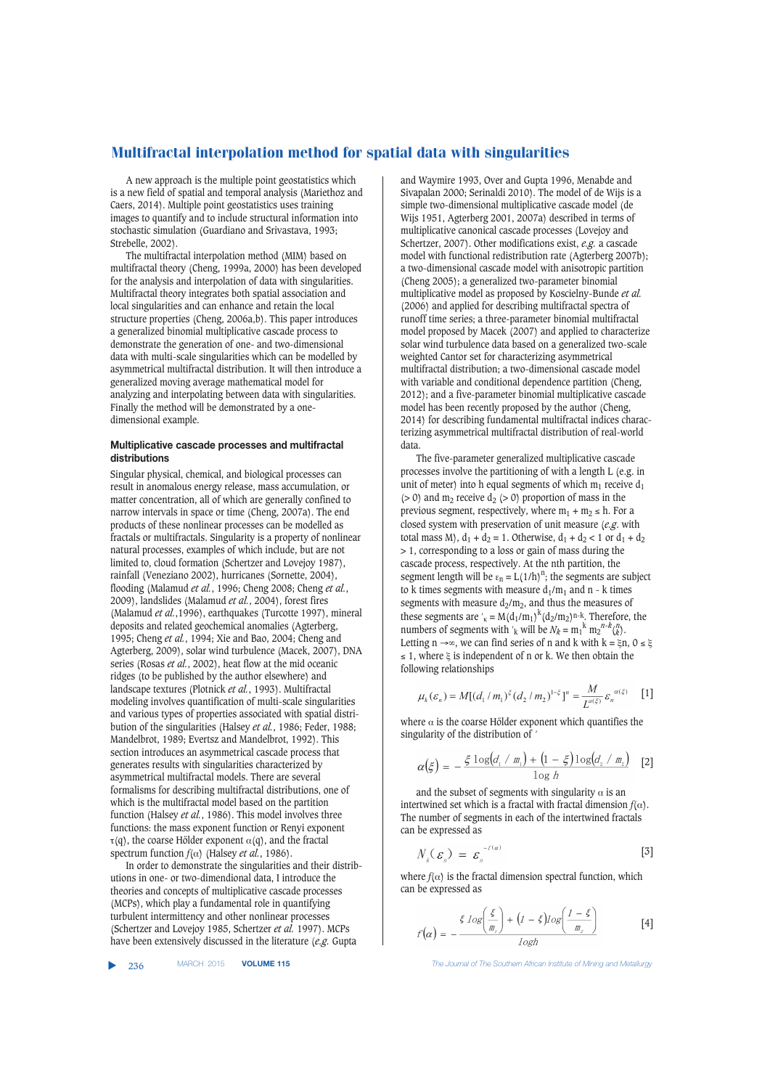A new approach is the multiple point geostatistics which is a new field of spatial and temporal analysis (Mariethoz and Caers, 2014). Multiple point geostatistics uses training images to quantify and to include structural information into stochastic simulation (Guardiano and Srivastava, 1993; Strebelle, 2002).

The multifractal interpolation method (MIM) based on multifractal theory (Cheng, 1999a, 2000) has been developed for the analysis and interpolation of data with singularities. Multifractal theory integrates both spatial association and local singularities and can enhance and retain the local structure properties (Cheng, 2006a,b). This paper introduces a generalized binomial multiplicative cascade process to demonstrate the generation of one- and two-dimensional data with multi-scale singularities which can be modelled by asymmetrical multifractal distribution. It will then introduce a generalized moving average mathematical model for analyzing and interpolating between data with singularities. Finally the method will be demonstrated by a onedimensional example.

## **Multiplicative cascade processes and multifractal distributions**

Singular physical, chemical, and biological processes can result in anomalous energy release, mass accumulation, or matter concentration, all of which are generally confined to narrow intervals in space or time (Cheng, 2007a). The end products of these nonlinear processes can be modelled as fractals or multifractals. Singularity is a property of nonlinear natural processes, examples of which include, but are not limited to, cloud formation (Schertzer and Lovejoy 1987), rainfall (Veneziano 2002), hurricanes (Sornette, 2004), flooding (Malamud *et al.*, 1996; Cheng 2008; Cheng *et al.*, 2009), landslides (Malamud *et al.*, 2004), forest fires (Malamud *et al.*,1996), earthquakes (Turcotte 1997), mineral deposits and related geochemical anomalies (Agterberg, 1995; Cheng *et al.*, 1994; Xie and Bao, 2004; Cheng and Agterberg, 2009), solar wind turbulence (Macek, 2007), DNA series (Rosas *et al.*, 2002), heat flow at the mid oceanic ridges (to be published by the author elsewhere) and landscape textures (Plotnick *et al.*, 1993). Multifractal modeling involves quantification of multi-scale singularities and various types of properties associated with spatial distribution of the singularities (Halsey *et al.*, 1986; Feder, 1988; Mandelbrot, 1989; Evertsz and Mandelbrot, 1992). This section introduces an asymmetrical cascade process that generates results with singularities characterized by asymmetrical multifractal models. There are several formalisms for describing multifractal distributions, one of which is the multifractal model based on the partition function (Halsey *et al.*, 1986). This model involves three functions: the mass exponent function or Renyi exponent  $\tau(q)$ , the coarse Hölder exponent  $\alpha(q)$ , and the fractal spectrum function  $f(\alpha)$  (Halsey *et al.*, 1986).

In order to demonstrate the singularities and their distributions in one- or two-dimendional data, I introduce the theories and concepts of multiplicative cascade processes (MCPs), which play a fundamental role in quantifying turbulent intermittency and other nonlinear processes (Schertzer and Lovejoy 1985, Schertzer *et al.* 1997). MCPs have been extensively discussed in the literature (*e.g.* Gupta

▲

and Waymire 1993, Over and Gupta 1996, Menabde and Sivapalan 2000; Serinaldi 2010). The model of de Wijs is a simple two-dimensional multiplicative cascade model (de Wijs 1951, Agterberg 2001, 2007a) described in terms of multiplicative canonical cascade processes (Lovejoy and Schertzer, 2007). Other modifications exist, *e.g.* a cascade model with functional redistribution rate (Agterberg 2007b); a two-dimensional cascade model with anisotropic partition (Cheng 2005); a generalized two-parameter binomial multiplicative model as proposed by Koscielny-Bunde *et al.* (2006) and applied for describing multifractal spectra of runoff time series; a three-parameter binomial multifractal model proposed by Macek (2007) and applied to characterize solar wind turbulence data based on a generalized two-scale weighted Cantor set for characterizing asymmetrical multifractal distribution; a two-dimensional cascade model with variable and conditional dependence partition (Cheng, 2012); and a five-parameter binomial multiplicative cascade model has been recently proposed by the author (Cheng, 2014) for describing fundamental multifractal indices characterizing asymmetrical multifractal distribution of real-world data.

The five-parameter generalized multiplicative cascade processes involve the partitioning of with a length L (e.g. in unit of meter) into h equal segments of which  $m_1$  receive  $d_1$ ( $> 0$ ) and m<sub>2</sub> receive d<sub>2</sub> ( $> 0$ ) proportion of mass in the previous segment, respectively, where  $m_1 + m_2 \leq h$ . For a closed system with preservation of unit measure (*e.g*. with total mass M),  $d_1 + d_2 = 1$ . Otherwise,  $d_1 + d_2 < 1$  or  $d_1 + d_2$ > 1, corresponding to a loss or gain of mass during the cascade process, respectively. At the nth partition, the segment length will be  $\varepsilon_n = L(1/h)^n$ ; the segments are subject to k times segments with measure  $d_1/m_1$  and n - k times segments with measure  $d_2/m_2$ , and thus the measures of these segments are '<sub>K</sub> =  $M(d_1/m_1)^k(d_2/m_2)^{n-k}$ . Therefore, the numbers of segments with '<sub>k</sub> will be  $N_k = m_1^k m_2^{n-k} {n \choose k}$ . Letting n →∞, we can find series of n and k with  $k = \xi n$ ,  $0 \le \xi$  $\leq$  1, where  $\xi$  is independent of n or k. We then obtain the following relationships

$$
\mu_k(\varepsilon_n) = M[(d_1/m_1)^{\xi} (d_2/m_2)^{1-\xi}]^n = \frac{M}{L^{a(\xi)}} \varepsilon_n^{\alpha(\xi)} \quad [1]
$$

where  $\alpha$  is the coarse Hölder exponent which quantifies the singularity of the distribution of '

$$
\alpha(\xi) = -\frac{\xi \log(d_1 / m_1) + (1 - \xi) \log(d_2 / m_2)}{\log h} \quad [2]
$$

and the subset of segments with singularity  $\alpha$  is an intertwined set which is a fractal with fractal dimension  $f(\alpha)$ . The number of segments in each of the intertwined fractals can be expressed as

$$
N_k(\varepsilon_n) = \varepsilon_n^{-r(\alpha)} \tag{3}
$$

where  $f(\alpha)$  is the fractal dimension spectral function, which can be expressed as

 $\hat{f}$ 

$$
\left(\alpha\right) = -\frac{\xi \log\left(\frac{\xi}{m_1}\right) + \left(1 - \xi\right)\log\left(\frac{1 - \xi}{m_2}\right)}{\log h} \tag{4}
$$

**The Journal of The Southern African Institute of Mining and Metallurgy**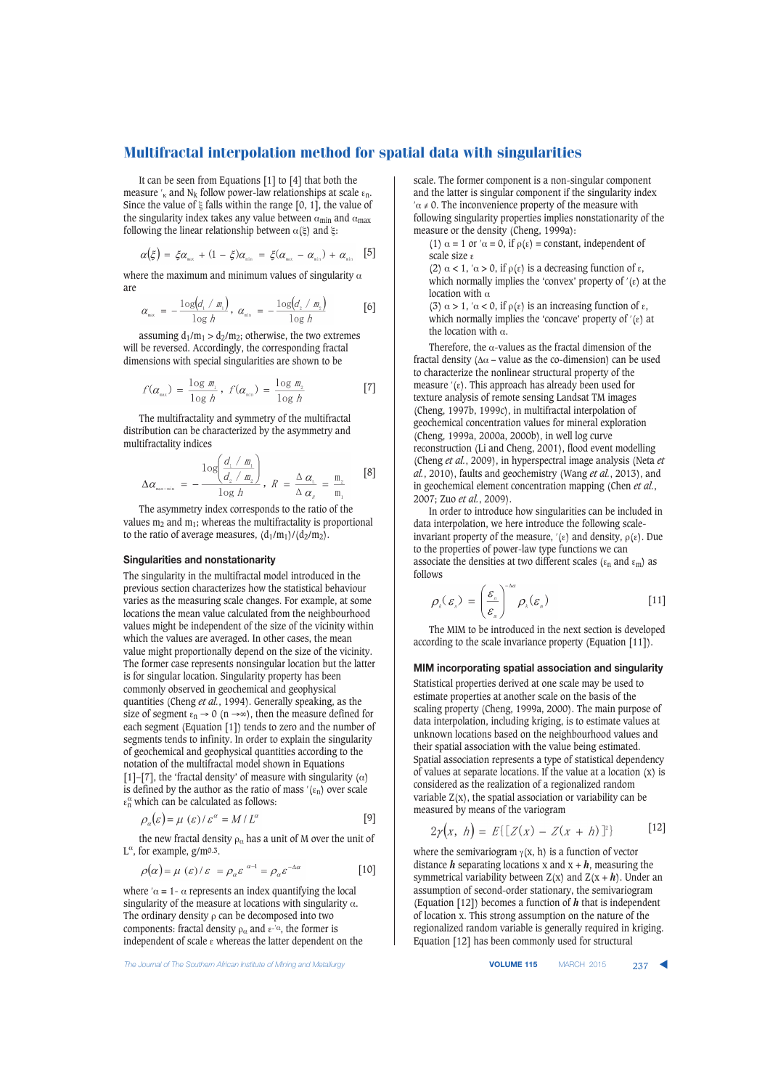It can be seen from Equations [1] to [4] that both the measure  $\frac{1}{k}$  and N<sub>k</sub> follow power-law relationships at scale  $\varepsilon_n$ . Since the value of  $\xi$  falls within the range [0, 1], the value of the singularity index takes any value between  $\alpha_{\min}$  and  $\alpha_{\max}$ following the linear relationship between  $\alpha(\xi)$  and ξ:

$$
\alpha(\xi) = \xi \alpha_{\text{max}} + (1 - \xi) \alpha_{\text{min}} = \xi (\alpha_{\text{max}} - \alpha_{\text{min}}) + \alpha_{\text{min}} \quad [5]
$$

where the maximum and minimum values of singularity  $\alpha$ are  $\mathcal{L}$ 

$$
\alpha_{\scriptscriptstyle \text{max}} = -\frac{\log(d_{\scriptscriptstyle \perp}/m_{\scriptscriptstyle \perp})}{\log h}, \ \alpha_{\scriptscriptstyle \text{min}} = -\frac{\log(d_{\scriptscriptstyle \perp}/m_{\scriptscriptstyle \perp})}{\log h} \qquad \qquad \text{[6]}
$$

assuming  $d_1/m_1 > d_2/m_2$ ; otherwise, the two extremes will be reversed. Accordingly, the corresponding fractal dimensions with special singularities are shown to be

$$
f(\alpha_{\max}) = \frac{\log m_{\lambda}}{\log h}, \ f(\alpha_{\min}) = \frac{\log m_{\lambda}}{\log h}
$$
 [7]

The multifractality and symmetry of the multifractal distribution can be characterized by the asymmetry and multifractality indices

$$
\Delta \alpha_{\scriptscriptstyle \text{max-min}} \; = \; -\frac{\log \left( \frac{d_1 \cdot m_1}{d_2 \cdot m_2} \right)}{\log h}, \; R \; = \; \frac{\Delta \; \alpha_{\scriptscriptstyle \text{L}}}{\Delta \; \alpha_{\scriptscriptstyle \text{P}}} \; = \; \frac{\text{m}_2}{\text{m}_1} \qquad \, [8]
$$

The asymmetry index corresponds to the ratio of the values  $m_2$  and  $m_1$ ; whereas the multifractality is proportional to the ratio of average measures,  $(d_1/m_1)/(d_2/m_2)$ .

## **Singularities and nonstationarity**

The singularity in the multifractal model introduced in the previous section characterizes how the statistical behaviour varies as the measuring scale changes. For example, at some locations the mean value calculated from the neighbourhood values might be independent of the size of the vicinity within which the values are averaged. In other cases, the mean value might proportionally depend on the size of the vicinity. The former case represents nonsingular location but the latter is for singular location. Singularity property has been commonly observed in geochemical and geophysical quantities (Cheng *et al.*, 1994). Generally speaking, as the size of segment  $\varepsilon_n \to 0$  (n  $\to \infty$ ), then the measure defined for each segment (Equation [1]) tends to zero and the number of segments tends to infinity. In order to explain the singularity of geochemical and geophysical quantities according to the notation of the multifractal model shown in Equations [1]–[7], the 'fractal density' of measure with singularity ( $\alpha$ ) is defined by the author as the ratio of mass  $'(ε_n)$  over scale  $\varepsilon_n^{\alpha}$  which can be calculated as follows:

$$
\rho_{\alpha}(\varepsilon) = \mu(\varepsilon) / \varepsilon^{\alpha} = M / L^{\alpha}
$$
 [9]

the new fractal density  $\rho_{\alpha}$  has a unit of M over the unit of  $L^{\alpha}$ , for example, g/m<sup>o.3</sup>.

$$
\rho(\alpha) = \mu(\varepsilon)/\varepsilon = \rho_{\alpha}\varepsilon^{\alpha - 1} = \rho_{\alpha}\varepsilon^{-\Delta\alpha} \tag{10}
$$

where  $\alpha = 1$  -  $\alpha$  represents an index quantifying the local singularity of the measure at locations with singularity  $\alpha$ . The ordinary density  $\rho$  can be decomposed into two components: fractal density  $\rho_{\alpha}$  and  $\varepsilon^{-\alpha}$ , the former is independent of scale ε whereas the latter dependent on the

**The Journal of The Southern African Institute of Mining and Metallurgy <b>VOLUME 115 VOLUME 115 MARCH 2015** 237

scale. The former component is a non-singular component and the latter is singular component if the singularity index  $\alpha \neq 0$ . The inconvenience property of the measure with following singularity properties implies nonstationarity of the measure or the density (Cheng, 1999a):

(1)  $\alpha = 1$  or  $\alpha = 0$ , if  $\rho(\varepsilon) = constant$ , independent of scale size ε

(2)  $\alpha$  < 1,  $\alpha$  > 0, if  $\rho(\varepsilon)$  is a decreasing function of  $\varepsilon$ , which normally implies the 'convex' property of  $'(ε)$  at the location with  $\alpha$ 

(3) α > 1, ′α < 0, if ρ(ε) is an increasing function of ε, which normally implies the 'concave' property of  $'(ε)$  at the location with α.

Therefore, the  $\alpha$ -values as the fractal dimension of the fractal density ( $\Delta \alpha$  – value as the co-dimension) can be used to characterize the nonlinear structural property of the measure  $'(ε)$ . This approach has already been used for texture analysis of remote sensing Landsat TM images (Cheng, 1997b, 1999c), in multifractal interpolation of geochemical concentration values for mineral exploration (Cheng, 1999a, 2000a, 2000b), in well log curve reconstruction (Li and Cheng, 2001), flood event modelling (Cheng *et al.*, 2009), in hyperspectral image analysis (Neta *et al.*, 2010), faults and geochemistry (Wang *et al.*, 2013), and in geochemical element concentration mapping (Chen *et al.*, 2007; Zuo *et al.*, 2009).

In order to introduce how singularities can be included in data interpolation, we here introduce the following scaleinvariant property of the measure,  $'(ε)$  and density,  $ρ(ε)$ . Due to the properties of power-law type functions we can associate the densities at two different scales ( $\varepsilon_n$  and  $\varepsilon_m$ ) as follows

$$
\rho_{k}(\varepsilon_{n}) = \left(\frac{\varepsilon_{n}}{\varepsilon_{n}}\right)^{-\Delta\alpha} \rho_{k}(\varepsilon_{n})
$$
\n[11]

The MIM to be introduced in the next section is developed according to the scale invariance property (Equation [11]).

## **MIM incorporating spatial association and singularity**

Statistical properties derived at one scale may be used to estimate properties at another scale on the basis of the scaling property (Cheng, 1999a, 2000). The main purpose of data interpolation, including kriging, is to estimate values at unknown locations based on the neighbourhood values and their spatial association with the value being estimated. Spatial association represents a type of statistical dependency of values at separate locations. If the value at a location (x) is considered as the realization of a regionalized random variable  $Z(x)$ , the spatial association or variability can be measured by means of the variogram

$$
2\gamma(x, h) = E\{[Z(x) - Z(x+h)]^2\} \qquad [12]
$$

where the semivariogram  $\gamma(x, h)$  is a function of vector distance  $h$  separating locations x and  $x + h$ , measuring the symmetrical variability between  $Z(x)$  and  $Z(x + h)$ . Under an assumption of second-order stationary, the semivariogram (Equation [12]) becomes a function of *h* that is independent of location x. This strong assumption on the nature of the regionalized random variable is generally required in kriging. Equation [12] has been commonly used for structural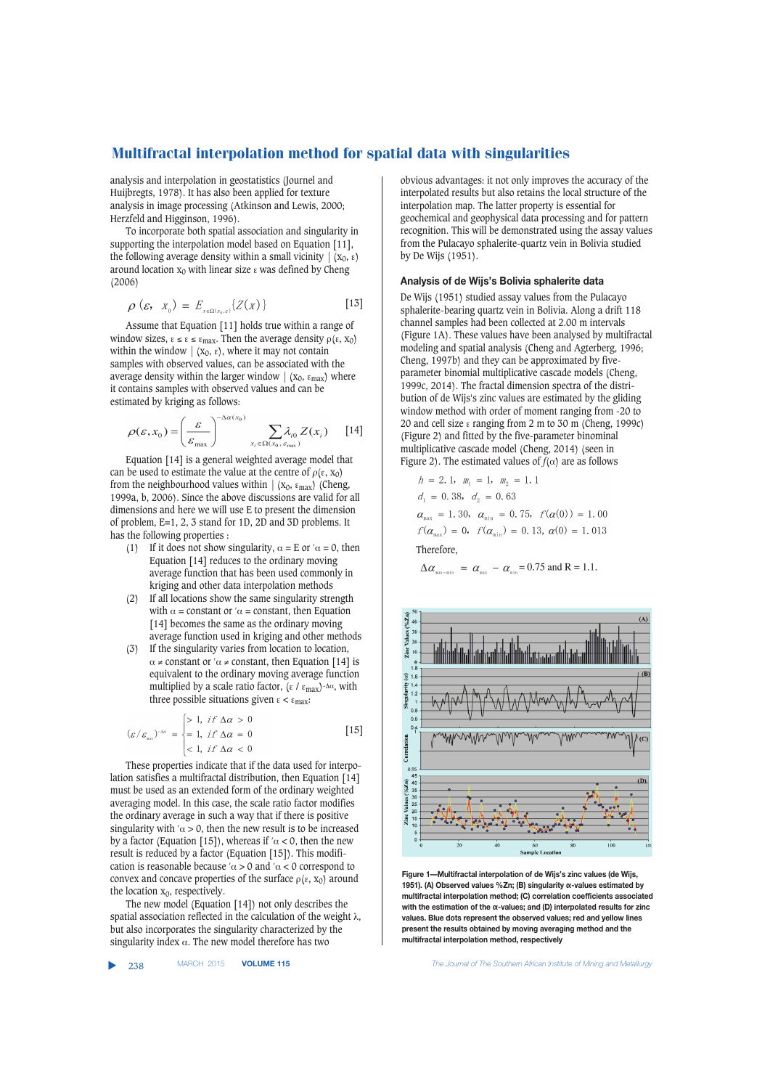analysis and interpolation in geostatistics (Journel and Huijbregts, 1978). It has also been applied for texture analysis in image processing (Atkinson and Lewis, 2000; Herzfeld and Higginson, 1996).

To incorporate both spatial association and singularity in supporting the interpolation model based on Equation [11], the following average density within a small vicinity  $\vert (x_0, \varepsilon) \vert$ around location  $x_0$  with linear size ε was defined by Cheng (2006)

$$
\rho\left(\varepsilon,\quad X_{_0}\right) = E_{_{X\in\Omega\left(X_{0},\varepsilon\right)}}\left\{Z(X)\right\} \tag{13}
$$

Assume that Equation [11] holds true within a range of window sizes,  $\epsilon \leq \epsilon \leq \epsilon_{\text{max}}$ . Then the average density  $\rho(\epsilon, x_0)$ within the window  $\mid$  (x<sub>0</sub>,  $\varepsilon$ ), where it may not contain samples with observed values, can be associated with the average density within the larger window  $\mid$  (x<sub>0</sub>,  $\varepsilon_{\text{max}}$ ) where it contains samples with observed values and can be estimated by kriging as follows:

$$
\rho(\varepsilon, x_0) = \left(\frac{\varepsilon}{\varepsilon_{\max}}\right)^{-\Delta\alpha(x_0)} \sum_{x_i \in \Omega(x_0, \varepsilon_{\max})} \lambda_{i0} Z(x_i) \qquad [14]
$$

Equation [14] is a general weighted average model that can be used to estimate the value at the centre of  $\rho(\varepsilon, x_0)$ from the neighbourhood values within  $\mid$  (x<sub>0</sub>,  $\varepsilon_{\text{max}}$ ) (Cheng, 1999a, b, 2006). Since the above discussions are valid for all dimensions and here we will use E to present the dimension of problem, E=1, 2, 3 stand for 1D, 2D and 3D problems. It has the following properties :

- (1) If it does not show singularity,  $\alpha = E$  or  $\alpha = 0$ , then Equation [14] reduces to the ordinary moving average function that has been used commonly in kriging and other data interpolation methods
- (2) If all locations show the same singularity strength with  $\alpha$  = constant or  $\alpha$  = constant, then Equation [14] becomes the same as the ordinary moving average function used in kriging and other methods
- (3) If the singularity varies from location to location,  $\alpha \neq$  constant or ' $\alpha \neq$  constant, then Equation [14] is equivalent to the ordinary moving average function multiplied by a scale ratio factor, (ε / ε<sub>max</sub>)- $\Delta \alpha$ , with three possible situations given  $ε < ε<sub>max</sub>$ :

$$
(\varepsilon/\varepsilon_{\max})^{-\Delta\alpha} = \begin{cases} > 1, & \text{if } \Delta\alpha > 0 \\ = 1, & \text{if } \Delta\alpha = 0 \\ < 1, & \text{if } \Delta\alpha < 0 \end{cases}
$$
 [15]

These properties indicate that if the data used for interpolation satisfies a multifractal distribution, then Equation [14] must be used as an extended form of the ordinary weighted averaging model. In this case, the scale ratio factor modifies the ordinary average in such a way that if there is positive singularity with ' $\alpha > 0$ , then the new result is to be increased by a factor (Equation [15]), whereas if ' $\alpha$  < 0, then the new result is reduced by a factor (Equation [15]). This modification is reasonable because  $\alpha > 0$  and  $\alpha < 0$  correspond to convex and concave properties of the surface  $\rho(\varepsilon, x_0)$  around the location  $x_0$ , respectively.

The new model (Equation [14]) not only describes the spatial association reflected in the calculation of the weight  $\lambda$ , but also incorporates the singularity characterized by the singularity index  $\alpha$ . The new model therefore has two

▲

obvious advantages: it not only improves the accuracy of the interpolated results but also retains the local structure of the interpolation map. The latter property is essential for geochemical and geophysical data processing and for pattern recognition. This will be demonstrated using the assay values from the Pulacayo sphalerite-quartz vein in Bolivia studied by De Wijs (1951).

### **Analysis of de Wijs's Bolivia sphalerite data**

De Wijs (1951) studied assay values from the Pulacayo sphalerite-bearing quartz vein in Bolivia. Along a drift 118 channel samples had been collected at 2.00 m intervals (Figure 1A). These values have been analysed by multifractal modeling and spatial analysis (Cheng and Agterberg, 1996; Cheng, 1997b) and they can be approximated by fiveparameter binomial multiplicative cascade models (Cheng, 1999c, 2014). The fractal dimension spectra of the distribution of de Wijs's zinc values are estimated by the gliding window method with order of moment ranging from -20 to 20 and cell size ε ranging from 2 m to 30 m (Cheng, 1999c) (Figure 2) and fitted by the five-parameter binominal multiplicative cascade model (Cheng, 2014) (seen in Figure 2). The estimated values of  $f(\alpha)$  are as follows

$$
h = 2.1, m_1 = 1, m_2 = 1.1
$$
  
\n
$$
d_1 = 0.38, d_2 = 0.63
$$
  
\n
$$
\alpha_{\text{max}} = 1.30, \alpha_{\text{min}} = 0.75, f(\alpha(0)) = 1.00
$$
  
\n
$$
f(\alpha_{\text{max}}) = 0, f(\alpha_{\text{min}}) = 0.13, \alpha(0) = 1.013
$$
  
\nTherefore.

 $\Delta \alpha_{\text{\tiny max-min}} = \alpha_{\text{\tiny max}} - \alpha_{\text{\tiny min}} = 0.75$  and R = 1.1.



**Figure 1—Multifractal interpolation of de Wijs's zinc values (de Wijs, 1951). (A) Observed values %Zn; (B) singularity α-values estimated by multifractal interpolation method; (C) correlation coefficients associated with the estimation of the α-values; and (D) interpolated results for zinc values. Blue dots represent the observed values; red and yellow lines present the results obtained by moving averaging method and the multifractal interpolation method, respectively**

238 MARCH 2015 **VOLUME 115** *The Journal of The Southern African Institute of Mining and Metallurgy*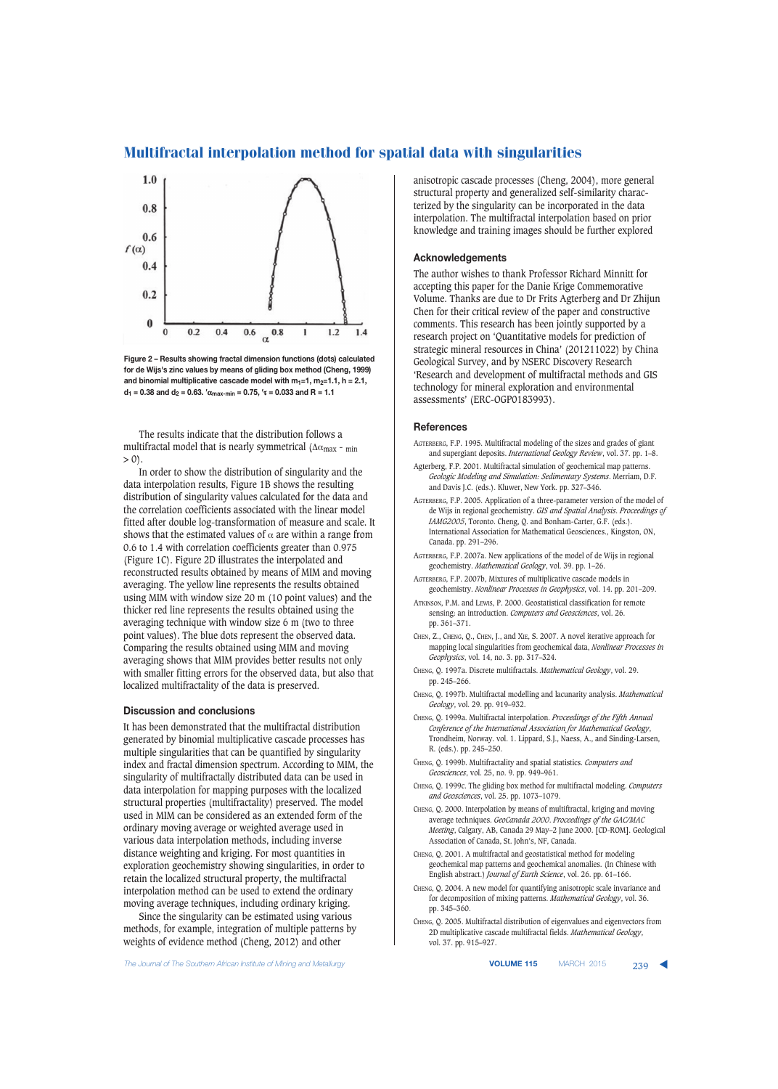

**Figure 2 – Results showing fractal dimension functions (dots) calculated for de Wijs's zinc values by means of gliding box method (Cheng, 1999)** and binomial multiplicative cascade model with  $m_1=1$ ,  $m_2=1.1$ ,  $h = 2.1$ ,  $d_1$  = 0.38 and  $d_2$  = 0.63. <sup>'</sup> $\alpha_{\text{max-min}}$  = 0.75, ' $\tau$  = 0.033 and R = 1.1

The results indicate that the distribution follows a multifractal model that is nearly symmetrical ( $\Delta \alpha_{\text{max}}$  - min  $> 0$ ).

In order to show the distribution of singularity and the data interpolation results, Figure 1B shows the resulting distribution of singularity values calculated for the data and the correlation coefficients associated with the linear model fitted after double log-transformation of measure and scale. It shows that the estimated values of  $\alpha$  are within a range from 0.6 to 1.4 with correlation coefficients greater than 0.975 (Figure 1C). Figure 2D illustrates the interpolated and reconstructed results obtained by means of MIM and moving averaging. The yellow line represents the results obtained using MIM with window size 20 m (10 point values) and the thicker red line represents the results obtained using the averaging technique with window size 6 m (two to three point values). The blue dots represent the observed data. Comparing the results obtained using MIM and moving averaging shows that MIM provides better results not only with smaller fitting errors for the observed data, but also that localized multifractality of the data is preserved.

### **Discussion and conclusions**

It has been demonstrated that the multifractal distribution generated by binomial multiplicative cascade processes has multiple singularities that can be quantified by singularity index and fractal dimension spectrum. According to MIM, the singularity of multifractally distributed data can be used in data interpolation for mapping purposes with the localized structural properties (multifractality) preserved. The model used in MIM can be considered as an extended form of the ordinary moving average or weighted average used in various data interpolation methods, including inverse distance weighting and kriging. For most quantities in exploration geochemistry showing singularities, in order to retain the localized structural property, the multifractal interpolation method can be used to extend the ordinary moving average techniques, including ordinary kriging.

Since the singularity can be estimated using various methods, for example, integration of multiple patterns by weights of evidence method (Cheng, 2012) and other

anisotropic cascade processes (Cheng, 2004), more general structural property and generalized self-similarity characterized by the singularity can be incorporated in the data interpolation. The multifractal interpolation based on prior knowledge and training images should be further explored

## **Acknowledgements**

The author wishes to thank Professor Richard Minnitt for accepting this paper for the Danie Krige Commemorative Volume. Thanks are due to Dr Frits Agterberg and Dr Zhijun Chen for their critical review of the paper and constructive comments. This research has been jointly supported by a research project on 'Quantitative models for prediction of strategic mineral resources in China' (201211022) by China Geological Survey, and by NSERC Discovery Research 'Research and development of multifractal methods and GIS technology for mineral exploration and environmental assessments' (ERC-OGP0183993).

#### **References**

- AGTERBERG, F.P. 1995. Multifractal modeling of the sizes and grades of giant and supergiant deposits. *International Geology Review*, vol. 37. pp. 1–8.
- Agterberg, F.P. 2001. Multifractal simulation of geochemical map patterns. *Geologic Modeling and Simulation: Sedimentary Systems*. Merriam, D.F. and Davis J.C. (eds.). Kluwer, New York. pp. 327–346.
- AGTERBERG, F.P. 2005. Application of a three-parameter version of the model of de Wijs in regional geochemistry. *GIS and Spatial Analysis*. *Proceedings of IAMG2005*, Toronto. Cheng, Q. and Bonham-Carter, G.F. (eds.). International Association for Mathematical Geosciences., Kingston, ON, Canada. pp. 291–296.
- AGTERBERG, F.P. 2007a. New applications of the model of de Wijs in regional geochemistry. *Mathematical Geology*, vol. 39. pp. 1–26.
- AGTERBERG, F.P. 2007b, Mixtures of multiplicative cascade models in geochemistry. *Nonlinear Processes in Geophysics*, vol. 14. pp. 201–209.
- ATKINSON, P.M. and LEWIS, P. 2000. Geostatistical classification for remote sensing: an introduction. *Computers and Geosciences*, vol. 26. pp. 361–371.
- CHEN, Z., CHENG, Q., CHEN, J., and XIE, S. 2007. A novel iterative approach for mapping local singularities from geochemical data, *Nonlinear Processes in Geophysics*, vol. 14, no. 3. pp. 317–324.
- CHENG, Q. 1997a. Discrete multifractals. *Mathematical Geology*, vol. 29. pp. 245–266.
- CHENG, Q. 1997b. Multifractal modelling and lacunarity analysis. *Mathematical Geology*, vol. 29. pp. 919–932.
- CHENG, Q. 1999a. Multifractal interpolation. *Proceedings of the Fifth Annual Conference of the International Association for Mathematical Geology*, Trondheim, Norway. vol. 1. Lippard, S.J., Naess, A., and Sinding-Larsen, R. (eds.). pp. 245–250.
- CHENG, Q. 1999b. Multifractality and spatial statistics. *Computers and Geosciences*, vol. 25, no. 9. pp. 949–961.
- CHENG, Q. 1999c. The gliding box method for multifractal modeling. *Computers and Geosciences*, vol. 25. pp. 1073–1079.
- CHENG, Q. 2000. Interpolation by means of multiftractal, kriging and moving average techniques. *GeoCanada 2000*. *Proceedings of the GAC/MAC Meeting*, Calgary, AB, Canada 29 May–2 June 2000. [CD-ROM]. Geological Association of Canada, St. John's, NF, Canada.
- CHENG, Q. 2001. A multifractal and geostatistical method for modeling geochemical map patterns and geochemical anomalies. (In Chinese with English abstract.) *Journal of Earth Science*, vol. 26. pp. 61–166.
- CHENG, Q. 2004. A new model for quantifying anisotropic scale invariance and for decomposition of mixing patterns. *Mathematical Geology*, vol. 36. pp. 345–360.
- CHENG, Q. 2005. Multifractal distribution of eigenvalues and eigenvectors from 2D multiplicative cascade multifractal fields. *Mathematical Geology*, vol. 37. pp. 915–927.

**The Journal of The Southern African Institute of Mining and Metallurgy <b>VICH 2016 VOLUME 115 MARCH 2015** 239